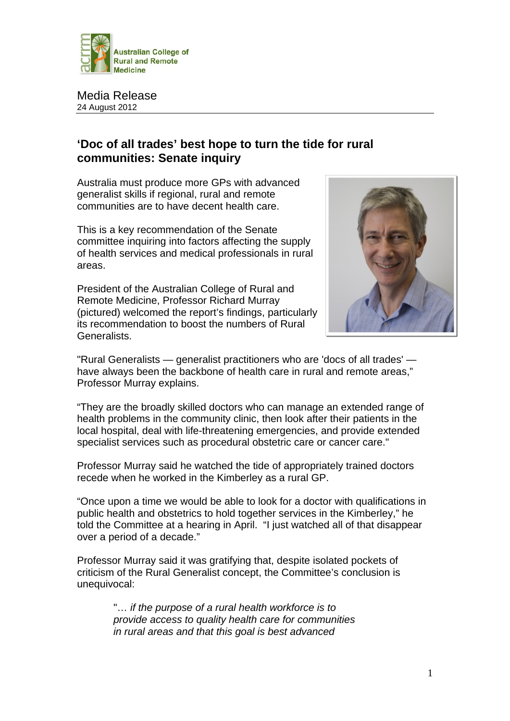

Media Release 24 August 2012

## **'Doc of all trades' best hope to turn the tide for rural communities: Senate inquiry**

Australia must produce more GPs with advanced generalist skills if regional, rural and remote communities are to have decent health care.

This is a key recommendation of the Senate committee inquiring into factors affecting the supply of health services and medical professionals in rural areas.

President of the Australian College of Rural and Remote Medicine, Professor Richard Murray (pictured) welcomed the report's findings, particularly its recommendation to boost the numbers of Rural Generalists.



"Rural Generalists — generalist practitioners who are 'docs of all trades' have always been the backbone of health care in rural and remote areas," Professor Murray explains.

"They are the broadly skilled doctors who can manage an extended range of health problems in the community clinic, then look after their patients in the local hospital, deal with life-threatening emergencies, and provide extended specialist services such as procedural obstetric care or cancer care."

Professor Murray said he watched the tide of appropriately trained doctors recede when he worked in the Kimberley as a rural GP.

"Once upon a time we would be able to look for a doctor with qualifications in public health and obstetrics to hold together services in the Kimberley," he told the Committee at a hearing in April. "I just watched all of that disappear over a period of a decade."

Professor Murray said it was gratifying that, despite isolated pockets of criticism of the Rural Generalist concept, the Committee's conclusion is unequivocal:

> "… *if the purpose of a rural health workforce is to provide access to quality health care for communities in rural areas and that this goal is best advanced*